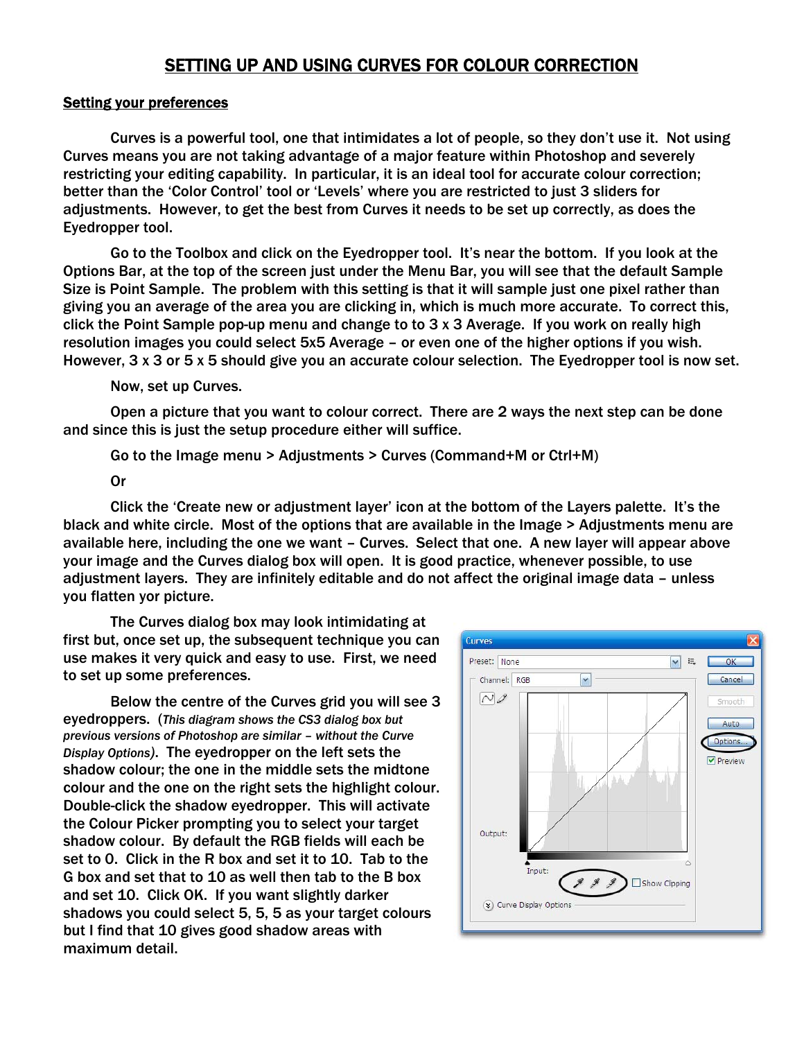## SETTING UP AND USING CURVES FOR COLOUR CORRECTION

## Setting your preferences

Curves is a powerful tool, one that intimidates a lot of people, so they don't use it. Not using Curves means you are not taking advantage of a major feature within Photoshop and severely restricting your editing capability. In particular, it is an ideal tool for accurate colour correction; better than the 'Color Control' tool or 'Levels' where you are restricted to just 3 sliders for adjustments. However, to get the best from Curves it needs to be set up correctly, as does the Eyedropper tool.

Go to the Toolbox and click on the Eyedropper tool. It's near the bottom. If you look at the Options Bar, at the top of the screen just under the Menu Bar, you will see that the default Sample Size is Point Sample. The problem with this setting is that it will sample just one pixel rather than giving you an average of the area you are clicking in, which is much more accurate. To correct this, click the Point Sample pop-up menu and change to to 3 x 3 Average. If you work on really high resolution images you could select 5x5 Average – or even one of the higher options if you wish. However, 3 x 3 or 5 x 5 should give you an accurate colour selection. The Eyedropper tool is now set.

Now, set up Curves.

Open a picture that you want to colour correct. There are 2 ways the next step can be done and since this is just the setup procedure either will suffice.

Go to the Image menu > Adjustments > Curves (Command+M or Ctrl+M)

## Or

Click the 'Create new or adjustment layer' icon at the bottom of the Layers palette. It's the black and white circle. Most of the options that are available in the Image > Adjustments menu are available here, including the one we want – Curves. Select that one. A new layer will appear above your image and the Curves dialog box will open. It is good practice, whenever possible, to use adjustment layers. They are infinitely editable and do not affect the original image data – unless you flatten yor picture.

The Curves dialog box may look intimidating at first but, once set up, the subsequent technique you can use makes it very quick and easy to use. First, we need to set up some preferences.

Below the centre of the Curves grid you will see 3 eyedroppers. (*This diagram shows the CS3 dialog box but previous versions of Photoshop are similar – without the Curve Display Options)*. The eyedropper on the left sets the shadow colour; the one in the middle sets the midtone colour and the one on the right sets the highlight colour. Double-click the shadow eyedropper. This will activate the Colour Picker prompting you to select your target shadow colour. By default the RGB fields will each be set to 0. Click in the R box and set it to 10. Tab to the G box and set that to 10 as well then tab to the B box and set 10. Click OK. If you want slightly darker shadows you could select 5, 5, 5 as your target colours but I find that 10 gives good shadow areas with maximum detail.

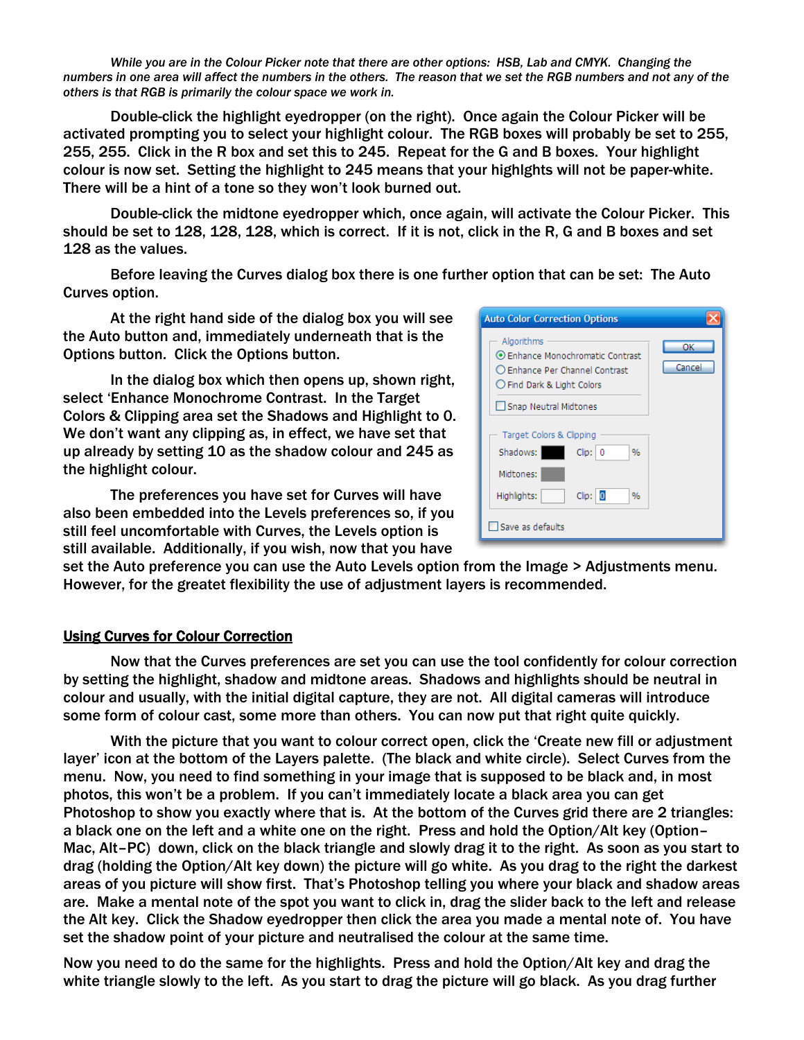*While you are in the Colour Picker note that there are other options: HSB, Lab and CMYK. Changing the numbers in one area will affect the numbers in the others. The reason that we set the RGB numbers and not any of the others is that RGB is primarily the colour space we work in.* 

Double-click the highlight eyedropper (on the right). Once again the Colour Picker will be activated prompting you to select your highlight colour. The RGB boxes will probably be set to 255, 255, 255. Click in the R box and set this to 245. Repeat for the G and B boxes. Your highlight colour is now set. Setting the highlight to 245 means that your highlghts will not be paper-white. There will be a hint of a tone so they won't look burned out.

Double-click the midtone eyedropper which, once again, will activate the Colour Picker. This should be set to 128, 128, 128, which is correct. If it is not, click in the R, G and B boxes and set 128 as the values.

Before leaving the Curves dialog box there is one further option that can be set: The Auto Curves option.

At the right hand side of the dialog box you will see the Auto button and, immediately underneath that is the Options button. Click the Options button.

 In the dialog box which then opens up, shown right, select 'Enhance Monochrome Contrast. In the Target Colors & Clipping area set the Shadows and Highlight to 0. We don't want any clipping as, in effect, we have set that up already by setting 10 as the shadow colour and 245 as the highlight colour.

 The preferences you have set for Curves will have also been embedded into the Levels preferences so, if you still feel uncomfortable with Curves, the Levels option is still available. Additionally, if you wish, now that you have

| <b>Auto Color Correction Options</b>                                                                                                    |              |
|-----------------------------------------------------------------------------------------------------------------------------------------|--------------|
| Algorithms<br>⊙ Enhance Monochromatic Contrast<br>○ Enhance Per Channel Contrast<br>◯ Find Dark & Light Colors<br>Snap Neutral Midtones | ОК<br>Cancel |
| Target Colors & Clipping<br>Shadows:<br>Clip:   0<br>%<br>Midtones:                                                                     |              |
| Clip: 0<br>Highlights:<br>$\%$<br>Save as defaults                                                                                      |              |

set the Auto preference you can use the Auto Levels option from the Image > Adjustments menu. However, for the greatet flexibility the use of adjustment layers is recommended.

## Using Curves for Colour Correction

 Now that the Curves preferences are set you can use the tool confidently for colour correction by setting the highlight, shadow and midtone areas. Shadows and highlights should be neutral in colour and usually, with the initial digital capture, they are not. All digital cameras will introduce some form of colour cast, some more than others. You can now put that right quite quickly.

 With the picture that you want to colour correct open, click the 'Create new fill or adjustment layer' icon at the bottom of the Layers palette. (The black and white circle). Select Curves from the menu. Now, you need to find something in your image that is supposed to be black and, in most photos, this won't be a problem. If you can't immediately locate a black area you can get Photoshop to show you exactly where that is. At the bottom of the Curves grid there are 2 triangles: a black one on the left and a white one on the right. Press and hold the Option/Alt key (Option– Mac, Alt–PC) down, click on the black triangle and slowly drag it to the right. As soon as you start to drag (holding the Option/Alt key down) the picture will go white. As you drag to the right the darkest areas of you picture will show first. That's Photoshop telling you where your black and shadow areas are. Make a mental note of the spot you want to click in, drag the slider back to the left and release the Alt key. Click the Shadow eyedropper then click the area you made a mental note of. You have set the shadow point of your picture and neutralised the colour at the same time.

Now you need to do the same for the highlights. Press and hold the Option/Alt key and drag the white triangle slowly to the left. As you start to drag the picture will go black. As you drag further